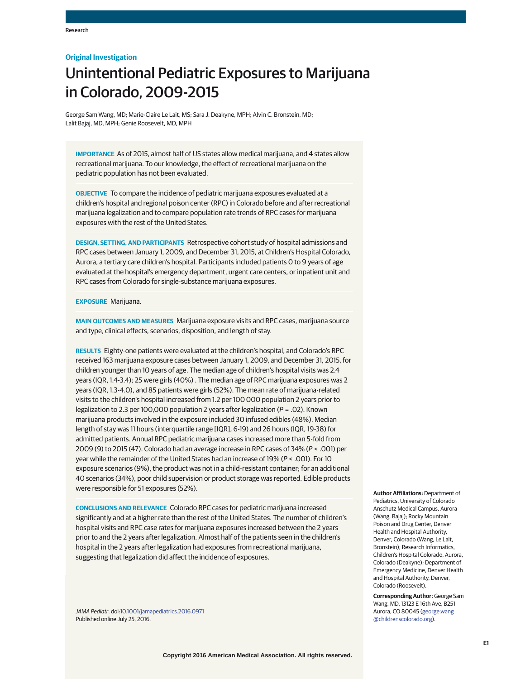## **Original Investigation**

# Unintentional Pediatric Exposures to Marijuana in Colorado, 2009-2015

George Sam Wang, MD; Marie-Claire Le Lait, MS; Sara J. Deakyne, MPH; Alvin C. Bronstein, MD; Lalit Bajaj, MD, MPH; Genie Roosevelt, MD, MPH

**IMPORTANCE** As of 2015, almost half of US states allow medical marijuana, and 4 states allow recreational marijuana. To our knowledge, the effect of recreational marijuana on the pediatric population has not been evaluated.

**OBJECTIVE** To compare the incidence of pediatric marijuana exposures evaluated at a children's hospital and regional poison center (RPC) in Colorado before and after recreational marijuana legalization and to compare population rate trends of RPC cases for marijuana exposures with the rest of the United States.

**DESIGN, SETTING, AND PARTICIPANTS** Retrospective cohort study of hospital admissions and RPC cases between January 1, 2009, and December 31, 2015, at Children's Hospital Colorado, Aurora, a tertiary care children's hospital. Participants included patients 0 to 9 years of age evaluated at the hospital's emergency department, urgent care centers, or inpatient unit and RPC cases from Colorado for single-substance marijuana exposures.

### **EXPOSURE** Marijuana.

**MAIN OUTCOMES AND MEASURES** Marijuana exposure visits and RPC cases, marijuana source and type, clinical effects, scenarios, disposition, and length of stay.

**RESULTS** Eighty-one patients were evaluated at the children's hospital, and Colorado's RPC received 163 marijuana exposure cases between January 1, 2009, and December 31, 2015, for children younger than 10 years of age. The median age of children's hospital visits was 2.4 years (IQR, 1.4-3.4); 25 were girls (40%) . The median age of RPC marijuana exposures was 2 years (IQR, 1.3-4.0), and 85 patients were girls (52%). The mean rate of marijuana-related visits to the children's hospital increased from 1.2 per 100 000 population 2 years prior to legalization to 2.3 per 100,000 population 2 years after legalization ( $P = .02$ ). Known marijuana products involved in the exposure included 30 infused edibles (48%). Median length of stay was 11 hours (interquartile range [IQR], 6-19) and 26 hours (IQR, 19-38) for admitted patients. Annual RPC pediatric marijuana cases increased more than 5-fold from 2009 (9) to 2015 (47). Colorado had an average increase in RPC cases of 34% (P < .001) per year while the remainder of the United States had an increase of  $19\% (P < .001)$ . For 10 exposure scenarios (9%), the product was not in a child-resistant container; for an additional 40 scenarios (34%), poor child supervision or product storage was reported. Edible products were responsible for 51 exposures (52%).

**CONCLUSIONS AND RELEVANCE** Colorado RPC cases for pediatric marijuana increased significantly and at a higher rate than the rest of the United States. The number of children's hospital visits and RPC case rates for marijuana exposures increased between the 2 years prior to and the 2 years after legalization. Almost half of the patients seen in the children's hospital in the 2 years after legalization had exposures from recreational marijuana, suggesting that legalization did affect the incidence of exposures.

JAMA Pediatr. doi[:10.1001/jamapediatrics.2016.0971](http://jama.jamanetwork.com/article.aspx?doi=10.1001/jamapediatrics.2016.0971&utm_campaign=articlePDF%26utm_medium=articlePDFlink%26utm_source=articlePDF%26utm_content=jamapediatrics.2016.0971) Published online July 25, 2016.

**Author Affiliations:** Department of Pediatrics, University of Colorado Anschutz Medical Campus, Aurora (Wang, Bajaj); Rocky Mountain Poison and Drug Center, Denver Health and Hospital Authority, Denver, Colorado (Wang, Le Lait, Bronstein); Research Informatics, Children's Hospital Colorado, Aurora, Colorado (Deakyne); Department of Emergency Medicine, Denver Health and Hospital Authority, Denver, Colorado (Roosevelt).

**Corresponding Author:** George Sam Wang, MD, 13123 E 16th Ave, B251 Aurora, CO 80045 [\(george.wang](mailto:george.wang@childrenscolorado.org) [@childrenscolorado.org\)](mailto:george.wang@childrenscolorado.org).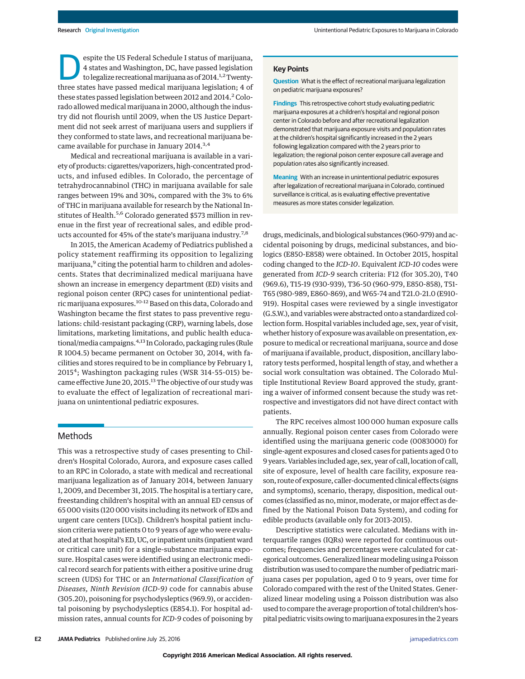espite the US Federal Schedule I status of marijuana,<br>
4 states and Washington, DC, have passed legislation<br>
to legalize recreational marijuana as of 2014.<sup>1,2</sup>Twenty-<br>
three states have passed medical marijuana legislatio 4 states and Washington, DC, have passed legislation three states have passed medical marijuana legislation; 4 of these states passed legislation between 2012 and  $2014.<sup>2</sup>$  Colorado allowed medical marijuana in 2000, although the industry did not flourish until 2009, when the US Justice Department did not seek arrest of marijuana users and suppliers if they conformed to state laws, and recreational marijuana became available for purchase in January 2014.<sup>3,4</sup>

Medical and recreational marijuana is available in a variety of products: cigarettes/vaporizers, high-concentrated products, and infused edibles. In Colorado, the percentage of tetrahydrocannabinol (THC) in marijuana available for sale ranges between 19% and 30%, compared with the 3% to 6% of THC in marijuana available for research by the National Institutes of Health.<sup>5,6</sup> Colorado generated \$573 million in revenue in the first year of recreational sales, and edible products accounted for 45% of the state's marijuana industry.<sup>7,8</sup>

In 2015, the American Academy of Pediatrics published a policy statement reaffirming its opposition to legalizing marijuana,<sup>9</sup> citing the potential harm to children and adolescents. States that decriminalized medical marijuana have shown an increase in emergency department (ED) visits and regional poison center (RPC) cases for unintentional pediatric marijuana exposures.<sup>10-12</sup> Based on this data, Colorado and Washington became the first states to pass preventive regulations: child-resistant packaging (CRP), warning labels, dose limitations, marketing limitations, and public health educational/media campaigns.<sup>4,13</sup> In Colorado, packaging rules (Rule R 1004.5) became permanent on October 30, 2014, with facilities and stores required to be in compliance by February 1, 2015<sup>4</sup>; Washington packaging rules (WSR 314-55-015) became effective June 20, 2015.<sup>13</sup> The objective of our study was to evaluate the effect of legalization of recreational marijuana on unintentional pediatric exposures.

## Methods

This was a retrospective study of cases presenting to Children's Hospital Colorado, Aurora, and exposure cases called to an RPC in Colorado, a state with medical and recreational marijuana legalization as of January 2014, between January 1, 2009, and December 31, 2015. The hospital is a tertiary care, freestanding children's hospital with an annual ED census of 65 000 visits (120 000 visits including its network of EDs and urgent care centers [UCs]). Children's hospital patient inclusion criteria were patients 0 to 9 years of age who were evaluated at that hospital's ED, UC, or inpatient units (inpatient ward or critical care unit) for a single-substance marijuana exposure. Hospital cases were identified using an electronic medical record search for patients with either a positive urine drug screen (UDS) for THC or an *International Classification of Diseases, Ninth Revision (ICD-9)* code for cannabis abuse (305.20), poisoning for psychodysleptics (969.9), or accidental poisoning by psychodysleptics (E854.1). For hospital admission rates, annual counts for *ICD-9* codes of poisoning by

## **Key Points**

**Question** What is the effect of recreational marijuana legalization on pediatric marijuana exposures?

**Findings** This retrospective cohort study evaluating pediatric marijuana exposures at a children's hospital and regional poison center in Colorado before and after recreational legalization demonstrated that marijuana exposure visits and population rates at the children's hospital significantly increased in the 2 years following legalization compared with the 2 years prior to legalization; the regional poison center exposure call average and population rates also significantly increased.

**Meaning** With an increase in unintentional pediatric exposures after legalization of recreational marijuana in Colorado, continued surveillance is critical, as is evaluating effective preventative measures as more states consider legalization.

drugs, medicinals, and biological substances (960-979) and accidental poisoning by drugs, medicinal substances, and biologics (E850-E858) were obtained. In October 2015, hospital coding changed to the *ICD-10*. Equivalent *ICD-10* codes were generated from *ICD-9* search criteria: F12 (for 305.20), T40 (969.6), T15-19 (930-939), T36-50 (960-979, E850-858), T51- T65 (980-989, E860-869), and W65-74 and T21.0-21.0 (E910- 919). Hospital cases were reviewed by a single investigator (G.S.W.), and variables were abstracted onto a standardized collection form. Hospital variables included age, sex, year of visit, whether history of exposure was available on presentation, exposure to medical or recreational marijuana, source and dose of marijuana if available, product, disposition, ancillary laboratory tests performed, hospital length of stay, and whether a social work consultation was obtained. The Colorado Multiple Institutional Review Board approved the study, granting a waiver of informed consent because the study was retrospective and investigators did not have direct contact with patients.

The RPC receives almost 100 000 human exposure calls annually. Regional poison center cases from Colorado were identified using the marijuana generic code (0083000) for single-agent exposures and closed cases for patients aged 0 to 9 years. Variables included age, sex, year of call, location of call, site of exposure, level of health care facility, exposure reason, route of exposure, caller-documented clinical effects (signs and symptoms), scenario, therapy, disposition, medical outcomes (classified as no, minor, moderate, or major effect as defined by the National Poison Data System), and coding for edible products (available only for 2013-2015).

Descriptive statistics were calculated. Medians with interquartile ranges (IQRs) were reported for continuous outcomes; frequencies and percentages were calculated for categorical outcomes. Generalized linear modeling using a Poisson distribution was used to compare the number of pediatricmarijuana cases per population, aged 0 to 9 years, over time for Colorado compared with the rest of the United States. Generalized linear modeling using a Poisson distribution was also used to compare the average proportion of total children's hospital pediatric visits owing tomarijuana exposures in the 2 years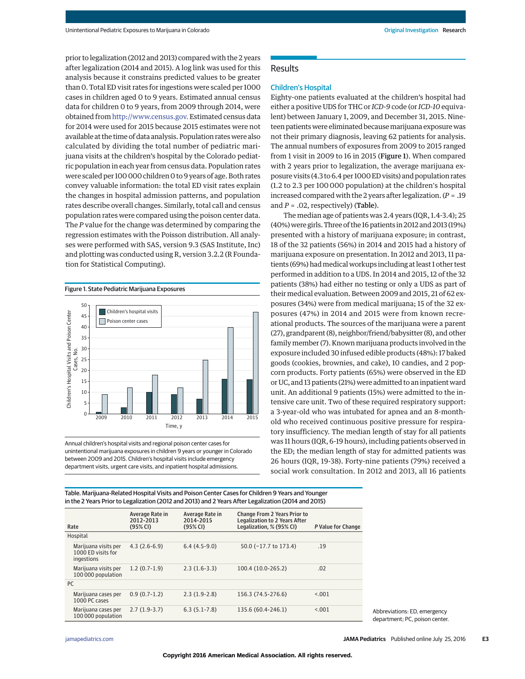prior to legalization (2012 and 2013) compared with the 2 years after legalization (2014 and 2015). A log link was used for this analysis because it constrains predicted values to be greater than 0. Total ED visit rates for ingestions were scaled per 1000 cases in children aged 0 to 9 years. Estimated annual census data for children 0 to 9 years, from 2009 through 2014, were obtained from [http://www.census.gov.](http://www.census.gov) Estimated census data for 2014 were used for 2015 because 2015 estimates were not available at the time of data analysis. Population rates were also calculated by dividing the total number of pediatric marijuana visits at the children's hospital by the Colorado pediatric population in each year from census data. Population rates were scaled per 100 000 children 0 to 9 years of age. Both rates convey valuable information: the total ED visit rates explain the changes in hospital admission patterns, and population rates describe overall changes. Similarly, total call and census population rates were compared using the poison center data. The *P* value for the change was determined by comparing the regression estimates with the Poisson distribution. All analyses were performed with SAS, version 9.3 (SAS Institute, Inc) and plotting was conducted using R, version 3.2.2 (R Foundation for Statistical Computing).

#### Figure 1. State Pediatric Marijuana Exposures



Annual children's hospital visits and regional poison center cases for unintentional marijuana exposures in children 9 years or younger in Colorado between 2009 and 2015. Children's hospital visits include emergency department visits, urgent care visits, and inpatient hospital admissions.

## **Results**

## Children's Hospital

Eighty-one patients evaluated at the children's hospital had either a positive UDS for THC or *ICD-9* code (or *ICD-10* equivalent) between January 1, 2009, and December 31, 2015. Nineteen patients were eliminated becausemarijuana exposure was not their primary diagnosis, leaving 62 patients for analysis. The annual numbers of exposures from 2009 to 2015 ranged from 1 visit in 2009 to 16 in 2015 (Figure 1). When compared with 2 years prior to legalization, the average marijuana exposure visits (4.3 to 6.4 per 1000 ED visits) and population rates (1.2 to 2.3 per 100 000 population) at the children's hospital increased compared with the 2 years after legalization. (*P* = .19 and  $P = 0.02$ , respectively) (Table).

The median age of patients was 2.4 years (IQR, 1.4-3.4); 25 (40%)were girls. Three of the 16 patients in 2012 and 2013 (19%) presented with a history of marijuana exposure; in contrast, 18 of the 32 patients (56%) in 2014 and 2015 had a history of marijuana exposure on presentation. In 2012 and 2013, 11 patients (69%) had medical workups including at least 1 other test performed in addition to a UDS. In 2014 and 2015, 12 of the 32 patients (38%) had either no testing or only a UDS as part of their medical evaluation. Between 2009 and 2015, 21 of 62 exposures (34%) were from medical marijuana; 15 of the 32 exposures (47%) in 2014 and 2015 were from known recreational products. The sources of the marijuana were a parent (27), grandparent (8), neighbor/friend/babysitter (8), and other family member (7). Known marijuana products involved in the exposure included 30 infused edible products (48%): 17 baked goods (cookies, brownies, and cake), 10 candies, and 2 popcorn products. Forty patients (65%) were observed in the ED or UC, and 13 patients (21%) were admitted to an inpatient ward unit. An additional 9 patients (15%) were admitted to the intensive care unit. Two of these required respiratory support: a 3-year-old who was intubated for apnea and an 8-monthold who received continuous positive pressure for respiratory insufficiency. The median length of stay for all patients was 11 hours (IQR, 6-19 hours), including patients observed in the ED; the median length of stay for admitted patients was 26 hours (IQR, 19-38). Forty-nine patients (79%) received a social work consultation. In 2012 and 2013, all 16 patients

Table. Marijuana-Related Hospital Visits and Poison Center Cases for Children 9 Years and Younger in the 2 Years Prior to Legalization (2012 and 2013) and 2 Years After Legalization (2014 and 2015)

| Rate |                                                          | Average Rate in<br>2012-2013<br>$(95%$ CI) | Average Rate in<br>2014-2015<br>(95% CI) | <b>Change From 2 Years Prior to</b><br><b>Legalization to 2 Years After</b><br>Legalization. % (95% CI) | P Value for Change |
|------|----------------------------------------------------------|--------------------------------------------|------------------------------------------|---------------------------------------------------------------------------------------------------------|--------------------|
|      | Hospital                                                 |                                            |                                          |                                                                                                         |                    |
|      | Marijuana visits per<br>1000 ED visits for<br>ingestions | $4.3(2.6-6.9)$                             | $6.4(4.5-9.0)$                           | 50.0 (-17.7 to 173.4)                                                                                   | .19                |
|      | Marijuana visits per<br>100 000 population               | $1.2(0.7-1.9)$                             | $2.3(1.6-3.3)$                           | 100.4 (10.0-265.2)                                                                                      | .02                |
| PC.  |                                                          |                                            |                                          |                                                                                                         |                    |
|      | Marijuana cases per<br>1000 PC cases                     | $0.9(0.7-1.2)$                             | $2.3(1.9-2.8)$                           | 156.3 (74.5-276.6)                                                                                      | < 0.01             |
|      | Marijuana cases per<br>100 000 population                | $2.7(1.9-3.7)$                             | $6.3(5.1-7.8)$                           | 135.6 (60.4-246.1)                                                                                      | < 0.01             |

Abbreviations: ED, emergency department; PC, poison center.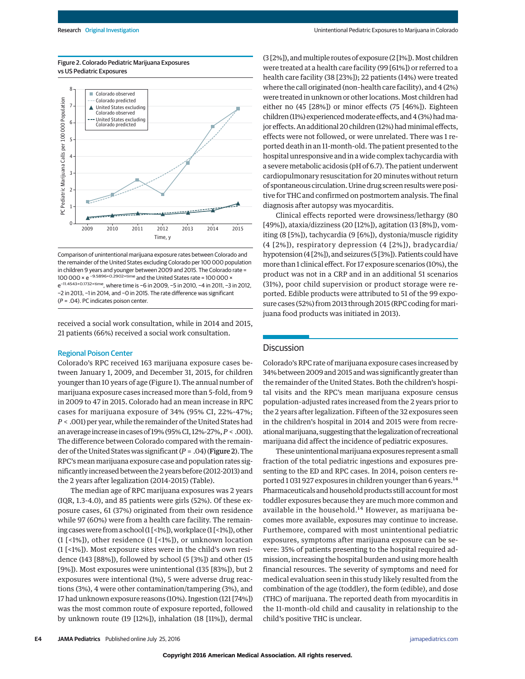

Figure 2. Colorado Pediatric Marijuana Exposures vs US Pediatric Exposures

Comparison of unintentional marijuana exposure rates between Colorado and the remainder of the United States excluding Colorado per 100 000 population in children 9 years and younger between 2009 and 2015. The Colorado rate = 100 000 × e −9.5896+0.2902×time and the United States rate = 100 000 × e−11.4543+0.1732×time, where time is −6 in 2009, −5 in 2010, −4 in 2011, −3 in 2012, −2 in 2013, −1 in 2014, and −0 in 2015. The rate difference was significant (P = .04). PC indicates poison center.

received a social work consultation, while in 2014 and 2015, 21 patients (66%) received a social work consultation.

## Regional Poison Center

Colorado's RPC received 163 marijuana exposure cases between January 1, 2009, and December 31, 2015, for children younger than 10 years of age (Figure 1). The annual number of marijuana exposure cases increased more than 5-fold, from 9 in 2009 to 47 in 2015. Colorado had an mean increase in RPC cases for marijuana exposure of 34% (95% CI, 22%-47%; *P* < .001) per year, while the remainder of the United States had an average increase in cases of 19% (95% CI, 12%-27%,*P* < .001). The difference between Colorado compared with the remainder of the United States was significant (*P* = .04) (Figure 2). The RPC's mean marijuana exposure case and population rates significantly increased between the 2 years before (2012-2013) and the 2 years after legalization (2014-2015) (Table).

The median age of RPC marijuana exposures was 2 years (IQR, 1.3-4.0), and 85 patients were girls (52%). Of these exposure cases, 61 (37%) originated from their own residence while 97 (60%) were from a health care facility. The remaining cases were from a school (1 [<1%]), workplace (1 [<1%]), other (1 [<1%]), other residence (1 [<1%]), or unknown location (1 [<1%]). Most exposure sites were in the child's own residence (143 [88%]), followed by school (5 [3%]) and other (15 [9%]). Most exposures were unintentional (135 [83%]), but 2 exposures were intentional (1%), 5 were adverse drug reactions (3%), 4 were other contamination/tampering (3%), and 17 had unknown exposure reasons (10%). Ingestion (121 [74%]) was the most common route of exposure reported, followed by unknown route (19 [12%]), inhalation (18 [11%]), dermal

(3 [2%]), and multiple routes of exposure (2 [1%]). Most children were treated at a health care facility (99 [61%]) or referred to a health care facility (38 [23%]); 22 patients (14%) were treated where the call originated (non–health care facility), and 4 (2%) were treated in unknown or other locations. Most children had either no (45 [28%]) or minor effects (75 [46%]). Eighteen children (11%) experienced moderate effects, and 4 (3%) had major effects. An additional 20 children (12%) had minimal effects, effects were not followed, or were unrelated. There was 1 reported death in an 11-month-old. The patient presented to the hospital unresponsive and in a wide complex tachycardia with a severe metabolic acidosis (pH of 6.7). The patient underwent cardiopulmonary resuscitation for 20 minutes without return of spontaneous circulation. Urine drug screen resultswere positive for THC and confirmed on postmortem analysis. The final diagnosis after autopsy was myocarditis.

Clinical effects reported were drowsiness/lethargy (80 [49%]), ataxia/dizziness (20 [12%]), agitation (13 [8%]), vomiting (8 [5%]), tachycardia (9 [6%]), dystonia/muscle rigidity (4 [2%]), respiratory depression (4 [2%]), bradycardia/ hypotension (4 [2%]), and seizures (5 [3%]). Patients could have more than 1 clinical effect. For 17 exposure scenarios (10%), the product was not in a CRP and in an additional 51 scenarios (31%), poor child supervision or product storage were reported. Edible products were attributed to 51 of the 99 exposure cases (52%) from 2013 through 2015 (RPC coding formarijuana food products was initiated in 2013).

# **Discussion**

Colorado's RPC rate of marijuana exposure cases increased by 34% between 2009 and 2015 and was significantly greater than the remainder of the United States. Both the children's hospital visits and the RPC's mean marijuana exposure census population–adjusted rates increased from the 2 years prior to the 2 years after legalization. Fifteen of the 32 exposures seen in the children's hospital in 2014 and 2015 were from recreationalmarijuana, suggesting that the legalization of recreational marijuana did affect the incidence of pediatric exposures.

These unintentional marijuana exposures represent a small fraction of the total pediatric ingestions and exposures presenting to the ED and RPC cases. In 2014, poison centers reported 1 031 927 exposures in children younger than 6 years.<sup>14</sup> Pharmaceuticals and household products still account formost toddler exposures because they are much more common and available in the household.<sup>14</sup> However, as marijuana becomes more available, exposures may continue to increase. Furthemore, compared with most unintentional pediatric exposures, symptoms after marijuana exposure can be severe: 35% of patients presenting to the hospital required admission, increasing the hospital burden and usingmore health financial resources. The severity of symptoms and need for medical evaluation seen in this study likely resulted from the combination of the age (toddler), the form (edible), and dose (THC) of marijuana. The reported death from myocarditis in the 11-month-old child and causality in relationship to the child's positive THC is unclear.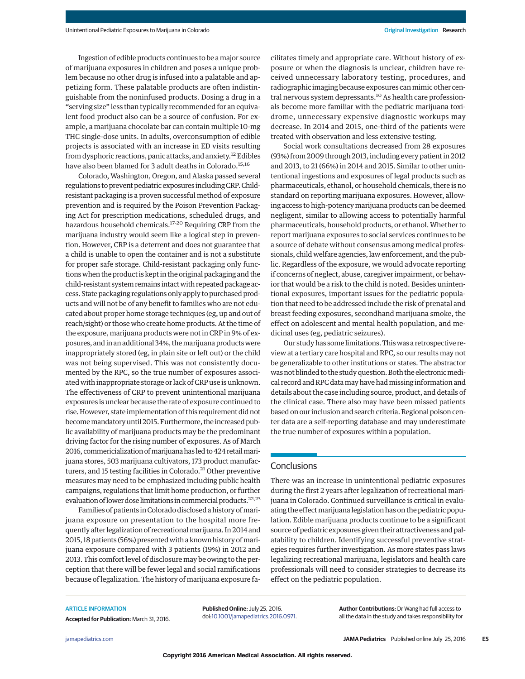Ingestion of edible products continues to be amajor source of marijuana exposures in children and poses a unique problem because no other drug is infused into a palatable and appetizing form. These palatable products are often indistinguishable from the noninfused products. Dosing a drug in a "serving size" less than typically recommended for an equivalent food product also can be a source of confusion. For example, a marijuana chocolate bar can contain multiple 10-mg THC single-dose units. In adults, overconsumption of edible projects is associated with an increase in ED visits resulting from dysphoric reactions, panic attacks, and anxiety.<sup>12</sup> Edibles have also been blamed for 3 adult deaths in Colorado.<sup>15,16</sup>

Colorado, Washington, Oregon, and Alaska passed several regulations to prevent pediatric exposures including CRP. Childresistant packaging is a proven successful method of exposure prevention and is required by the Poison Prevention Packaging Act for prescription medications, scheduled drugs, and hazardous household chemicals.17-20 Requiring CRP from the marijuana industry would seem like a logical step in prevention. However, CRP is a deterrent and does not guarantee that a child is unable to open the container and is not a substitute for proper safe storage. Child-resistant packaging only functions when the product is kept in the original packaging and the child-resistant system remains intact with repeated package access. State packaging regulations only apply to purchased products and will not be of any benefit to families who are not educated about proper home storage techniques (eg, up and out of reach/sight) or those who create home products. At the time of the exposure, marijuana products were not in CRP in 9% of exposures, and in an additional 34%, themarijuana productswere inappropriately stored (eg, in plain site or left out) or the child was not being supervised. This was not consistently documented by the RPC, so the true number of exposures associated with inappropriate storage or lack of CRP use is unknown. The effectiveness of CRP to prevent unintentional marijuana exposures is unclear because the rate of exposure continued to rise.However, state implementation of this requirement did not becomemandatory until 2015. Furthermore, the increased public availability of marijuana products may be the predominant driving factor for the rising number of exposures. As of March 2016, commericialization of marijuana has led to 424 retail marijuana stores, 503 marijuana cultivators, 173 product manufacturers, and 15 testing facilities in Colorado.<sup>21</sup> Other preventive measures may need to be emphasized including public health campaigns, regulations that limit home production, or further evaluation of lower dose limitations in commercial products.<sup>22,23</sup>

Families of patients in Colorado disclosed a history of marijuana exposure on presentation to the hospital more frequently after legalization of recreationalmarijuana. In 2014 and 2015, 18 patients (56%) presented with a known history of marijuana exposure compared with 3 patients (19%) in 2012 and 2013. This comfort level of disclosure may be owing to the perception that there will be fewer legal and social ramifications because of legalization. The history of marijuana exposure facilitates timely and appropriate care. Without history of exposure or when the diagnosis is unclear, children have received unnecessary laboratory testing, procedures, and radiographic imaging because exposures canmimic other central nervous system depressants.<sup>10</sup> As health care professionals become more familiar with the pediatric marijuana toxidrome, unnecessary expensive diagnostic workups may decrease. In 2014 and 2015, one-third of the patients were treated with observation and less extensive testing.

Social work consultations decreased from 28 exposures (93%) from 2009 through 2013, including every patient in 2012 and 2013, to 21 (66%) in 2014 and 2015. Similar to other unintentional ingestions and exposures of legal products such as pharmaceuticals, ethanol, or household chemicals, there is no standard on reporting marijuana exposures. However, allowing access to high-potency marijuana products can be deemed negligent, similar to allowing access to potentially harmful pharmaceuticals, household products, or ethanol.Whether to report marijuana exposures to social services continues to be a source of debate without consensus among medical professionals, child welfare agencies, law enforcement, and the public. Regardless of the exposure, we would advocate reporting if concerns of neglect, abuse, caregiver impairment, or behavior that would be a risk to the child is noted. Besides unintentional exposures, important issues for the pediatric population that need to be addressed include the risk of prenatal and breast feeding exposures, secondhand marijuana smoke, the effect on adolescent and mental health population, and medicinal uses (eg, pediatric seizures).

Our study has some limitations. This was a retrospective review at a tertiary care hospital and RPC, so our results may not be generalizable to other institutions or states. The abstractor was not blinded to the study question. Both the electronic medical record and RPC data may have had missing information and details about the case including source, product, and details of the clinical case. There also may have been missed patients based on our inclusion and search criteria. Regional poison center data are a self-reporting database and may underestimate the true number of exposures within a population.

# **Conclusions**

There was an increase in unintentional pediatric exposures during the first 2 years after legalization of recreational marijuana in Colorado. Continued surveillance is critical in evaluating the effect marijuana legislation has on the pediatric population. Edible marijuana products continue to be a significant source of pediatric exposures given their attractiveness and palatability to children. Identifying successful preventive strategies requires further investigation. As more states pass laws legalizing recreational marijuana, legislators and health care professionals will need to consider strategies to decrease its effect on the pediatric population.

ARTICLE INFORMATION

**Accepted for Publication:** March 31, 2016.

**Published Online:** July 25, 2016. doi[:10.1001/jamapediatrics.2016.0971.](http://jama.jamanetwork.com/article.aspx?doi=10.1001/jamapediatrics.2016.0971&utm_campaign=articlePDF%26utm_medium=articlePDFlink%26utm_source=articlePDF%26utm_content=jamapediatrics.2016.0971) **Author Contributions:** Dr Wang had full access to all the data in the study and takes responsibility for